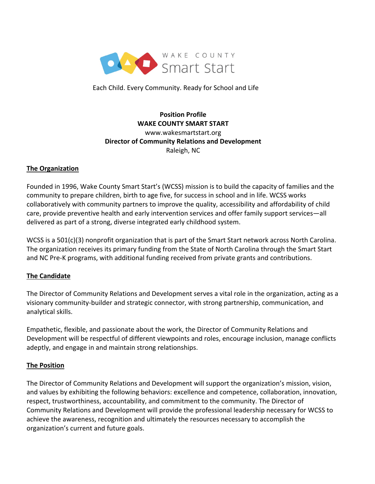

Each Child. Every Community. Ready for School and Life

# **Position Profile WAKE COUNTY SMART START** www.wakesmartstart.org **Director of Community Relations and Development** Raleigh, NC

#### **The Organization**

Founded in 1996, Wake County Smart Start's (WCSS) mission is to build the capacity of families and the community to prepare children, birth to age five, for success in school and in life. WCSS works collaboratively with community partners to improve the quality, accessibility and affordability of child care, provide preventive health and early intervention services and offer family support services—all delivered as part of a strong, diverse integrated early childhood system.

WCSS is a 501(c)(3) nonprofit organization that is part of the Smart Start network across North Carolina. The organization receives its primary funding from the State of North Carolina through the Smart Start and NC Pre-K programs, with additional funding received from private grants and contributions.

### **The Candidate**

The Director of Community Relations and Development serves a vital role in the organization, acting as a visionary community-builder and strategic connector, with strong partnership, communication, and analytical skills.

Empathetic, flexible, and passionate about the work, the Director of Community Relations and Development will be respectful of different viewpoints and roles, encourage inclusion, manage conflicts adeptly, and engage in and maintain strong relationships.

#### **The Position**

The Director of Community Relations and Development will support the organization's mission, vision, and values by exhibiting the following behaviors: excellence and competence, collaboration, innovation, respect, trustworthiness, accountability, and commitment to the community. The Director of Community Relations and Development will provide the professional leadership necessary for WCSS to achieve the awareness, recognition and ultimately the resources necessary to accomplish the organization's current and future goals.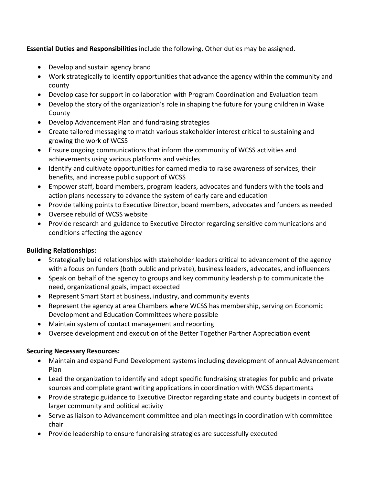**Essential Duties and Responsibilities** include the following. Other duties may be assigned.

- Develop and sustain agency brand
- Work strategically to identify opportunities that advance the agency within the community and county
- Develop case for support in collaboration with Program Coordination and Evaluation team
- Develop the story of the organization's role in shaping the future for young children in Wake County
- Develop Advancement Plan and fundraising strategies
- Create tailored messaging to match various stakeholder interest critical to sustaining and growing the work of WCSS
- Ensure ongoing communications that inform the community of WCSS activities and achievements using various platforms and vehicles
- Identify and cultivate opportunities for earned media to raise awareness of services, their benefits, and increase public support of WCSS
- Empower staff, board members, program leaders, advocates and funders with the tools and action plans necessary to advance the system of early care and education
- Provide talking points to Executive Director, board members, advocates and funders as needed
- Oversee rebuild of WCSS website
- Provide research and guidance to Executive Director regarding sensitive communications and conditions affecting the agency

# **Building Relationships:**

- Strategically build relationships with stakeholder leaders critical to advancement of the agency with a focus on funders (both public and private), business leaders, advocates, and influencers
- Speak on behalf of the agency to groups and key community leadership to communicate the need, organizational goals, impact expected
- Represent Smart Start at business, industry, and community events
- Represent the agency at area Chambers where WCSS has membership, serving on Economic Development and Education Committees where possible
- Maintain system of contact management and reporting
- Oversee development and execution of the Better Together Partner Appreciation event

### **Securing Necessary Resources:**

- Maintain and expand Fund Development systems including development of annual Advancement Plan
- Lead the organization to identify and adopt specific fundraising strategies for public and private sources and complete grant writing applications in coordination with WCSS departments
- Provide strategic guidance to Executive Director regarding state and county budgets in context of larger community and political activity
- Serve as liaison to Advancement committee and plan meetings in coordination with committee chair
- Provide leadership to ensure fundraising strategies are successfully executed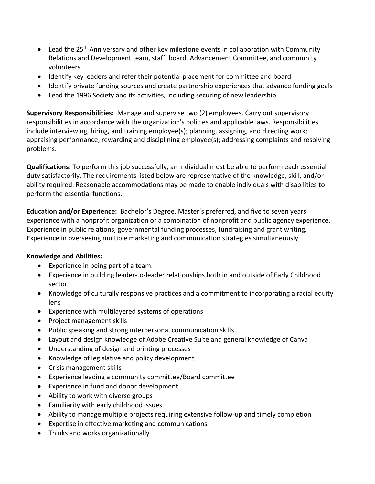- Lead the 25<sup>th</sup> Anniversary and other key milestone events in collaboration with Community Relations and Development team, staff, board, Advancement Committee, and community volunteers
- Identify key leaders and refer their potential placement for committee and board
- Identify private funding sources and create partnership experiences that advance funding goals
- Lead the 1996 Society and its activities, including securing of new leadership

**Supervisory Responsibilities:** Manage and supervise two (2) employees. Carry out supervisory responsibilities in accordance with the organization's policies and applicable laws. Responsibilities include interviewing, hiring, and training employee(s); planning, assigning, and directing work; appraising performance; rewarding and disciplining employee(s); addressing complaints and resolving problems.

**Qualifications:** To perform this job successfully, an individual must be able to perform each essential duty satisfactorily. The requirements listed below are representative of the knowledge, skill, and/or ability required. Reasonable accommodations may be made to enable individuals with disabilities to perform the essential functions.

**Education and/or Experience:** Bachelor's Degree, Master's preferred, and five to seven years experience with a nonprofit organization or a combination of nonprofit and public agency experience. Experience in public relations, governmental funding processes, fundraising and grant writing. Experience in overseeing multiple marketing and communication strategies simultaneously.

### **Knowledge and Abilities:**

- Experience in being part of a team.
- Experience in building leader-to-leader relationships both in and outside of Early Childhood sector
- Knowledge of culturally responsive practices and a commitment to incorporating a racial equity lens
- Experience with multilayered systems of operations
- Project management skills
- Public speaking and strong interpersonal communication skills
- Layout and design knowledge of Adobe Creative Suite and general knowledge of Canva
- Understanding of design and printing processes
- Knowledge of legislative and policy development
- Crisis management skills
- Experience leading a community committee/Board committee
- Experience in fund and donor development
- Ability to work with diverse groups
- Familiarity with early childhood issues
- Ability to manage multiple projects requiring extensive follow-up and timely completion
- Expertise in effective marketing and communications
- Thinks and works organizationally